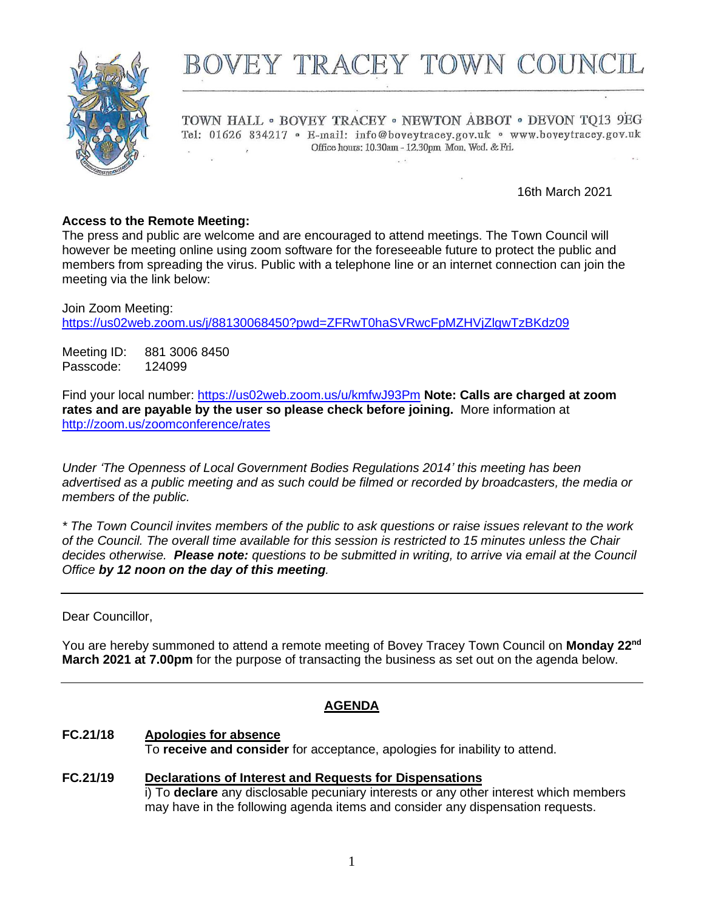

# BOVEY TRACEY TOWN COUNG

TOWN HALL . BOVEY TRACEY . NEWTON ABBOT . DEVON TQ13 9EG Tel: 01626 834217 · E-mail: info@boveytracey.gov.uk · www.boveytracey.gov.uk Office hours: 10.30am - 12.30pm Mon. Wed. & Fri.

16th March 2021

#### **Access to the Remote Meeting:**

The press and public are welcome and are encouraged to attend meetings. The Town Council will however be meeting online using zoom software for the foreseeable future to protect the public and members from spreading the virus. Public with a telephone line or an internet connection can join the meeting via the link below:

Join Zoom Meeting: <https://us02web.zoom.us/j/88130068450?pwd=ZFRwT0haSVRwcFpMZHVjZlgwTzBKdz09>

Meeting ID: 881 3006 8450 Passcode: 124099

Find your local number: <https://us02web.zoom.us/u/kmfwJ93Pm> **Note: Calls are charged at zoom rates and are payable by the user so please check before joining.** More information at <http://zoom.us/zoomconference/rates>

*Under 'The Openness of Local Government Bodies Regulations 2014' this meeting has been advertised as a public meeting and as such could be filmed or recorded by broadcasters, the media or members of the public.*

*\* The Town Council invites members of the public to ask questions or raise issues relevant to the work of the Council. The overall time available for this session is restricted to 15 minutes unless the Chair decides otherwise. Please note: questions to be submitted in writing, to arrive via email at the Council Office by 12 noon on the day of this meeting.*

Dear Councillor,

You are hereby summoned to attend a remote meeting of Bovey Tracey Town Council on **Monday 22nd March 2021 at 7.00pm** for the purpose of transacting the business as set out on the agenda below.

#### **AGENDA**

# **FC.21/18 Apologies for absence**

To **receive and consider** for acceptance, apologies for inability to attend.

**FC***.***21/19 Declarations of Interest and Requests for Dispensations** i) To **declare** any disclosable pecuniary interests or any other interest which members may have in the following agenda items and consider any dispensation requests.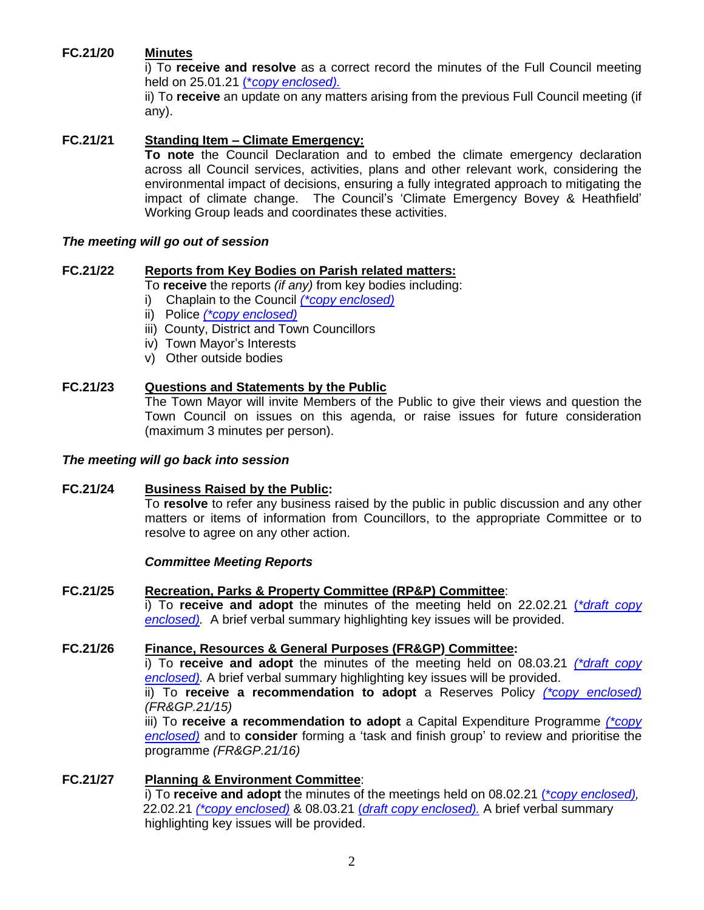# **FC.21/20 Minutes**

i) To **receive and resolve** as a correct record the minutes of the Full Council meeting held on 25.01.21 (\**[copy enclosed\).](https://www.dropbox.com/s/wkrqq5da0l3l1ba/Full%20Council%20Meeting%20Minutes%2025.01.21.doc?dl=0)*

ii) To **receive** an update on any matters arising from the previous Full Council meeting (if any).

#### **FC.21/21 Standing Item – Climate Emergency:**

**To note** the Council Declaration and to embed the climate emergency declaration across all Council services, activities, plans and other relevant work, considering the environmental impact of decisions, ensuring a fully integrated approach to mitigating the impact of climate change. The Council's 'Climate Emergency Bovey & Heathfield' Working Group leads and coordinates these activities.

#### *The meeting will go out of session*

#### **FC.21/22 Reports from Key Bodies on Parish related matters:**

To **receive** the reports *(if any)* from key bodies including:

- i) Chaplain to the Council *[\(\\*copy enclosed\)](https://www.dropbox.com/s/y8nfoyf91klfw2i/22.03.21%20-%20Report%20from%20the%20Churches%20to%20Bovey%20Tracey%20Town%20Council.docx?dl=0)*
- ii) Police *[\(\\*copy enclosed\)](https://www.dropbox.com/s/sdksa1y4vn7xrbw/22.03.21%20-%20Devon%20%26%20Cornwall%20Police%20Report.pdf?dl=0)*
- iii) County, District and Town Councillors
- iv) Town Mayor's Interests
- v) Other outside bodies

#### **FC.21/23 Questions and Statements by the Public**

The Town Mayor will invite Members of the Public to give their views and question the Town Council on issues on this agenda, or raise issues for future consideration (maximum 3 minutes per person).

#### *The meeting will go back into session*

#### **FC.21/24 Business Raised by the Public:** To **resolve** to refer any business raised by the public in public discussion and any other matters or items of information from Councillors, to the appropriate Committee or to resolve to agree on any other action.

#### *Committee Meeting Reports*

#### **FC.21/25 Recreation, Parks & Property Committee (RP&P) Committee**:

i) To **receive and adopt** the minutes of the meeting held on 22.02.21 (*[\\*draft copy](https://www.dropbox.com/s/a2bex2ezcwu3per/22.03.21%20-%20RP%26P%20Mins%20of%20Committee%20of%2022.02.21.doc?dl=0) [enclosed\).](https://www.dropbox.com/s/a2bex2ezcwu3per/22.03.21%20-%20RP%26P%20Mins%20of%20Committee%20of%2022.02.21.doc?dl=0)* A brief verbal summary highlighting key issues will be provided.

#### **FC.21/26 Finance, Resources & General Purposes (FR&GP) Committee:**

i) To **receive and adopt** the minutes of the meeting held on 08.03.21 *[\(\\*draft copy](https://www.dropbox.com/s/067ri7vplibgpg9/22.03.21%20-%20Minutes%20of%20FR%26GP%20Committee%20Meeting%2008.03.21.doc?dl=0) [enclosed\).](https://www.dropbox.com/s/067ri7vplibgpg9/22.03.21%20-%20Minutes%20of%20FR%26GP%20Committee%20Meeting%2008.03.21.doc?dl=0)* A brief verbal summary highlighting key issues will be provided.

ii) To **receive a recommendation to adopt** a Reserves Policy *[\(\\*copy enclosed\)](https://www.dropbox.com/s/ucu1cxscbwhzatv/22.03.21%20-%20Reserves%20Policy%20with%20FR%26GP%20Amendment.docx?dl=0) (FR&GP.21/15)*

iii) To **receive a recommendation to adopt** a Capital Expenditure Programme *[\(\\*copy](https://www.dropbox.com/s/pvp6pxg62s2zn0b/22.03.21%20-%20Capital%20Expenditure%20Programme%202021%20and%20beyond.xlsx?dl=0)  [enclosed\)](https://www.dropbox.com/s/pvp6pxg62s2zn0b/22.03.21%20-%20Capital%20Expenditure%20Programme%202021%20and%20beyond.xlsx?dl=0)* and to **consider** forming a 'task and finish group' to review and prioritise the programme *(FR&GP.21/16)*

#### **FC.21/27 Planning & Environment Committee**: i) To **receive and adopt** the minutes of the meetings held on 08.02.21 (\**copy [enclosed\),](https://www.dropbox.com/s/fokd8wtoc82cciw/22.03.21%20-%20Planning%20%20Environment%20Committee%20minutes%20of%2008.02.21.doc?dl=0)* 22.02.21 *[\(\\*copy enclosed\)](https://www.dropbox.com/s/41gv8chbsay7h3x/22.03.21%20-%20Planning%20%20%26%20Environment%20Committee%20minutes%20of%2022.02.21.doc?dl=0)* & 08.03.21 (*draft copy [enclosed\).](https://www.dropbox.com/s/x613ih4gesjipo1/22.03.21%20-%20Planning%20%26%20Environment%20Committee%20minutes%20of%2008.03.21.doc?dl=0)* A brief verbal summary highlighting key issues will be provided.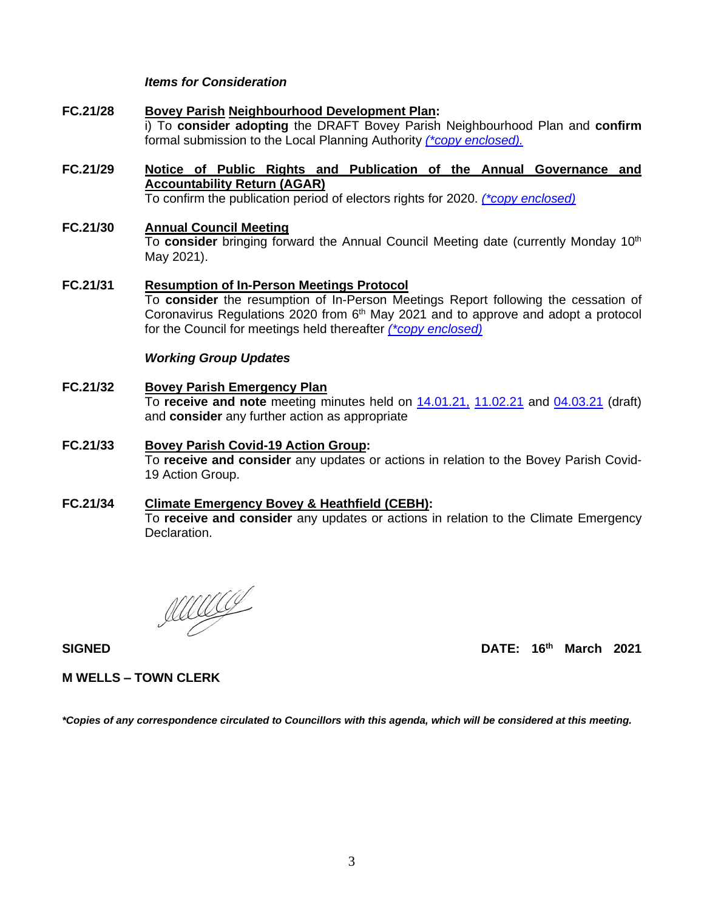#### *Items for Consideration*

- **FC.21/28 Bovey Parish Neighbourhood Development Plan:** i) To **consider adopting** the DRAFT Bovey Parish Neighbourhood Plan and **confirm**  formal submission to the Local Planning Authority *(\*copy [enclosed\).](https://www.dropbox.com/s/9zahnlh89emur6c/22.03.21%20-%20BTTC%20NP%20V1.2.pdf?dl=0)*
- **FC.21/29 Notice of Public Rights and Publication of the Annual Governance and Accountability Return (AGAR)**

To confirm the publication period of electors rights for 2020. *[\(\\*copy enclosed\)](https://www.dropbox.com/s/k0l9etgzuttxdbl/22.03.21%20-%20Notice%20of%20Public%20Rights%20and%20Publication%20of%20AGAR%202019-20.pdf?dl=0)*

- **FC.21/30 Annual Council Meeting** To **consider** bringing forward the Annual Council Meeting date (currently Monday 10th May 2021).
- **FC.21/31 Resumption of In-Person Meetings Protocol** To **consider** the resumption of In-Person Meetings Report following the cessation of Coronavirus Regulations 2020 from  $6<sup>th</sup>$  May 2021 and to approve and adopt a protocol for the Council for meetings held thereafter *[\(\\*copy enclosed\)](https://www.dropbox.com/s/g48kb5a2ezwrgwf/22.03.21%20-%20Protocol%20for%20the%20Resumption%20of%20In-Person%20Meetings%20Report.docx?dl=0)*

#### *Working Group Updates*

- **FC.21/32 Bovey Parish Emergency Plan** To **receive and note** meeting minutes held on [14.01.21,](https://www.dropbox.com/s/6z0cdkb8i28on5t/22.03.21%20-%20Emergency%20Planning%20Meeting%20Minutes%2014.01.21.docx?dl=0) [11.02.21](https://www.dropbox.com/s/9t9v28glp4l0f7x/22.03.21%20-%20Emergency%20Planning%20Meeting%20Minutes%2011.02.21.docx?dl=0) and [04.03.21](https://www.dropbox.com/s/5x7j8gfq3fjn87n/22.03.21%20-%20Emergency%20Planning%20Meeting%20Minutes%2004.03.21.docx?dl=0) (draft) and **consider** any further action as appropriate
- **FC.21/33 Bovey Parish Covid-19 Action Group:** To **receive and consider** any updates or actions in relation to the Bovey Parish Covid-19 Action Group.
- **FC.21/34 Climate Emergency Bovey & Heathfield (CEBH):** To **receive and consider** any updates or actions in relation to the Climate Emergency Declaration.

MATA

**SIGNED DATE: 16 th March 2021**

**M WELLS – TOWN CLERK**

*\*Copies of any correspondence circulated to Councillors with this agenda, which will be considered at this meeting.*